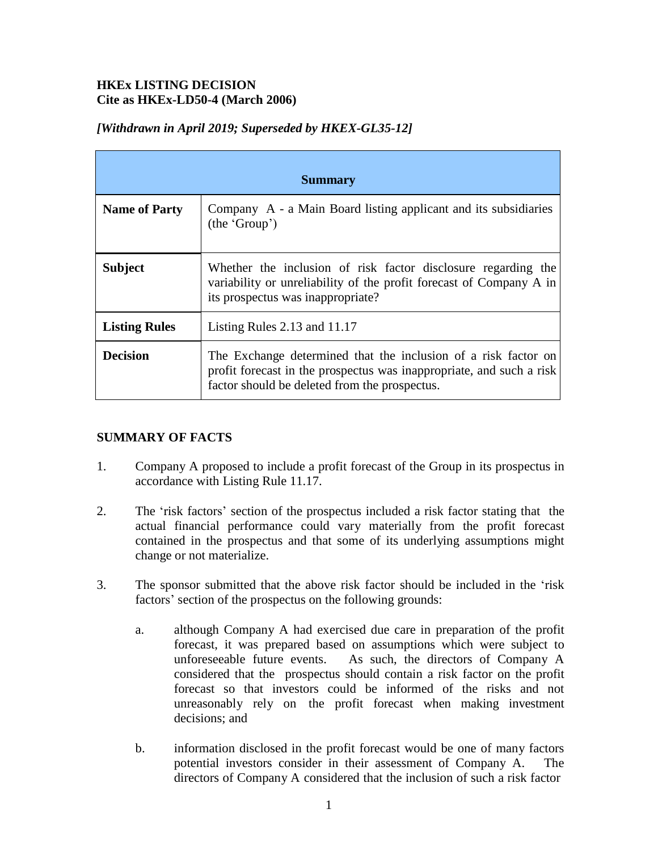## **HKEx LISTING DECISION Cite as HKEx-LD50-4 (March 2006)**

| <b>Summary</b>       |                                                                                                                                                                                         |
|----------------------|-----------------------------------------------------------------------------------------------------------------------------------------------------------------------------------------|
| <b>Name of Party</b> | Company A - a Main Board listing applicant and its subsidiaries<br>(the 'Group')                                                                                                        |
| <b>Subject</b>       | Whether the inclusion of risk factor disclosure regarding the<br>variability or unreliability of the profit forecast of Company A in<br>its prospectus was inappropriate?               |
| <b>Listing Rules</b> | Listing Rules $2.13$ and $11.17$                                                                                                                                                        |
| <b>Decision</b>      | The Exchange determined that the inclusion of a risk factor on<br>profit forecast in the prospectus was inappropriate, and such a risk<br>factor should be deleted from the prospectus. |

# *[Withdrawn in April 2019; Superseded by HKEX-GL35-12]*

# **SUMMARY OF FACTS**

- 1. Company A proposed to include a profit forecast of the Group in its prospectus in accordance with Listing Rule 11.17.
- 2. The 'risk factors' section of the prospectus included a risk factor stating that the actual financial performance could vary materially from the profit forecast contained in the prospectus and that some of its underlying assumptions might change or not materialize.
- 3. The sponsor submitted that the above risk factor should be included in the 'risk factors' section of the prospectus on the following grounds:
	- a. although Company A had exercised due care in preparation of the profit forecast, it was prepared based on assumptions which were subject to unforeseeable future events. As such, the directors of Company A considered that the prospectus should contain a risk factor on the profit forecast so that investors could be informed of the risks and not unreasonably rely on the profit forecast when making investment decisions; and
	- b. information disclosed in the profit forecast would be one of many factors potential investors consider in their assessment of Company A. The directors of Company A considered that the inclusion of such a risk factor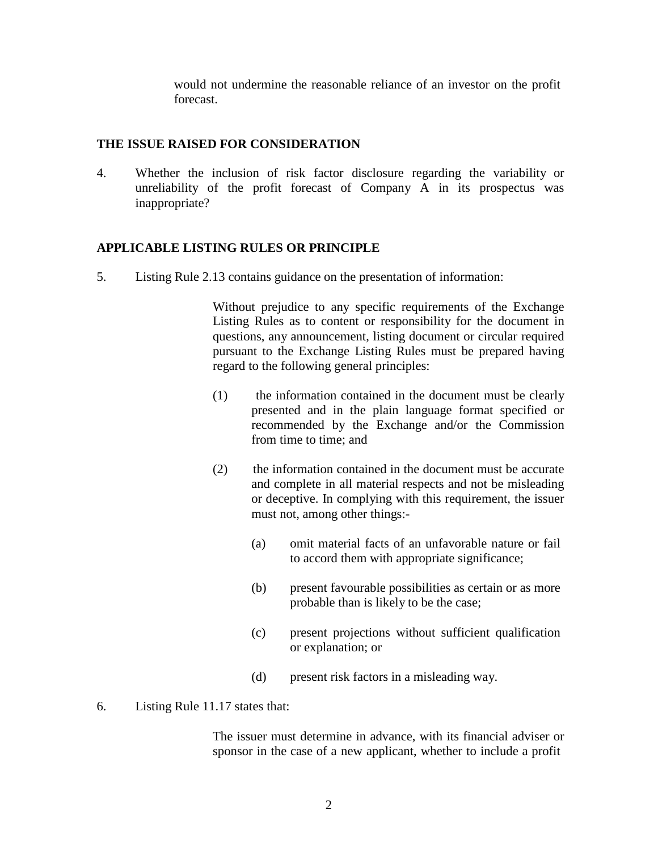would not undermine the reasonable reliance of an investor on the profit forecast.

#### **THE ISSUE RAISED FOR CONSIDERATION**

4. Whether the inclusion of risk factor disclosure regarding the variability or unreliability of the profit forecast of Company A in its prospectus was inappropriate?

### **APPLICABLE LISTING RULES OR PRINCIPLE**

5. Listing Rule 2.13 contains guidance on the presentation of information:

Without prejudice to any specific requirements of the Exchange Listing Rules as to content or responsibility for the document in questions, any announcement, listing document or circular required pursuant to the Exchange Listing Rules must be prepared having regard to the following general principles:

- (1) the information contained in the document must be clearly presented and in the plain language format specified or recommended by the Exchange and/or the Commission from time to time; and
- (2) the information contained in the document must be accurate and complete in all material respects and not be misleading or deceptive. In complying with this requirement, the issuer must not, among other things:-
	- (a) omit material facts of an unfavorable nature or fail to accord them with appropriate significance;
	- (b) present favourable possibilities as certain or as more probable than is likely to be the case;
	- (c) present projections without sufficient qualification or explanation; or
	- (d) present risk factors in a misleading way.
- 6. Listing Rule 11.17 states that:

The issuer must determine in advance, with its financial adviser or sponsor in the case of a new applicant, whether to include a profit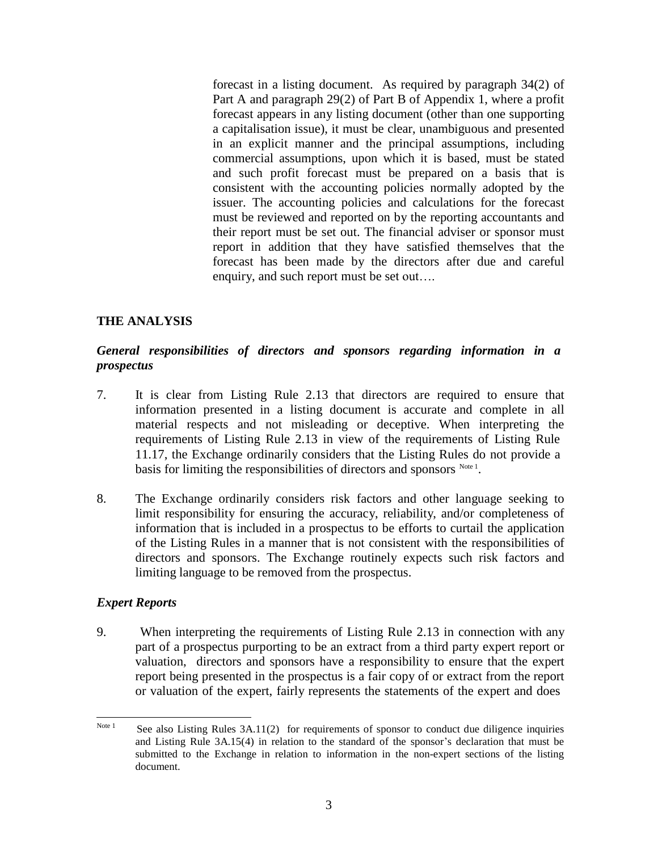forecast in a listing document. As required by paragraph 34(2) of Part A and paragraph 29(2) of Part B of Appendix 1, where a profit forecast appears in any listing document (other than one supporting a capitalisation issue), it must be clear, unambiguous and presented in an explicit manner and the principal assumptions, including commercial assumptions, upon which it is based, must be stated and such profit forecast must be prepared on a basis that is consistent with the accounting policies normally adopted by the issuer. The accounting policies and calculations for the forecast must be reviewed and reported on by the reporting accountants and their report must be set out. The financial adviser or sponsor must report in addition that they have satisfied themselves that the forecast has been made by the directors after due and careful enquiry, and such report must be set out….

#### **THE ANALYSIS**

### *General responsibilities of directors and sponsors regarding information in a prospectus*

- 7. It is clear from Listing Rule 2.13 that directors are required to ensure that information presented in a listing document is accurate and complete in all material respects and not misleading or deceptive. When interpreting the requirements of Listing Rule 2.13 in view of the requirements of Listing Rule 11.17, the Exchange ordinarily considers that the Listing Rules do not provide a basis for limiting the responsibilities of directors and sponsors  $N_{\text{ode}}$  .
- 8. The Exchange ordinarily considers risk factors and other language seeking to limit responsibility for ensuring the accuracy, reliability, and/or completeness of information that is included in a prospectus to be efforts to curtail the application of the Listing Rules in a manner that is not consistent with the responsibilities of directors and sponsors. The Exchange routinely expects such risk factors and limiting language to be removed from the prospectus.

#### *Expert Reports*

9. When interpreting the requirements of Listing Rule 2.13 in connection with any part of a prospectus purporting to be an extract from a third party expert report or valuation, directors and sponsors have a responsibility to ensure that the expert report being presented in the prospectus is a fair copy of or extract from the report or valuation of the expert, fairly represents the statements of the expert and does

 $N<sub>ote 1</sub>$  See also Listing Rules 3A.11(2) for requirements of sponsor to conduct due diligence inquiries and Listing Rule 3A.15(4) in relation to the standard of the sponsor's declaration that must be submitted to the Exchange in relation to information in the non-expert sections of the listing document.